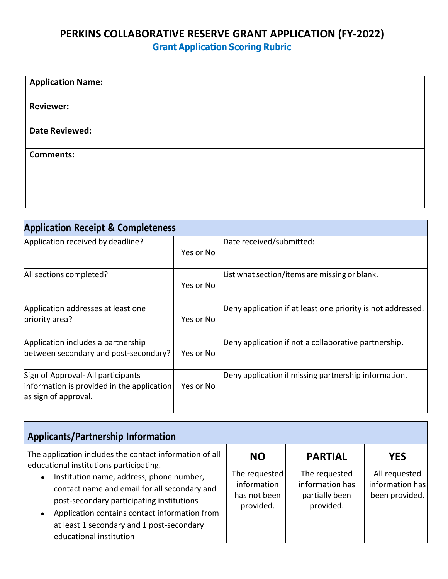## **PERKINS COLLABORATIVE RESERVE GRANT APPLICATION (FY-2022) Grant Application Scoring Rubric**

| <b>Application Name:</b> |  |
|--------------------------|--|
| <b>Reviewer:</b>         |  |
| <b>Date Reviewed:</b>    |  |
| <b>Comments:</b>         |  |
|                          |  |

| <b>Application Receipt &amp; Completeness</b>                                                            |           |                                                             |  |  |  |
|----------------------------------------------------------------------------------------------------------|-----------|-------------------------------------------------------------|--|--|--|
| Application received by deadline?                                                                        | Yes or No | Date received/submitted:                                    |  |  |  |
| All sections completed?                                                                                  | Yes or No | List what section/items are missing or blank.               |  |  |  |
| Application addresses at least one<br>priority area?                                                     | Yes or No | Deny application if at least one priority is not addressed. |  |  |  |
| Application includes a partnership<br>between secondary and post-secondary?                              | Yes or No | Deny application if not a collaborative partnership.        |  |  |  |
| Sign of Approval- All participants<br>information is provided in the application<br>as sign of approval. | Yes or No | Deny application if missing partnership information.        |  |  |  |

| <b>Applicants/Partnership Information</b>                                                                                                                                                                                                                                                                                                                            |                                                                        |                                                                                   |                                                                  |  |  |  |
|----------------------------------------------------------------------------------------------------------------------------------------------------------------------------------------------------------------------------------------------------------------------------------------------------------------------------------------------------------------------|------------------------------------------------------------------------|-----------------------------------------------------------------------------------|------------------------------------------------------------------|--|--|--|
| The application includes the contact information of all<br>educational institutions participating.<br>Institution name, address, phone number,<br>contact name and email for all secondary and<br>post-secondary participating institutions<br>Application contains contact information from<br>at least 1 secondary and 1 post-secondary<br>educational institution | <b>NO</b><br>The requested<br>information<br>has not been<br>provided. | <b>PARTIAL</b><br>The requested<br>information has<br>partially been<br>provided. | <b>YES</b><br>All requested<br>information has<br>been provided. |  |  |  |